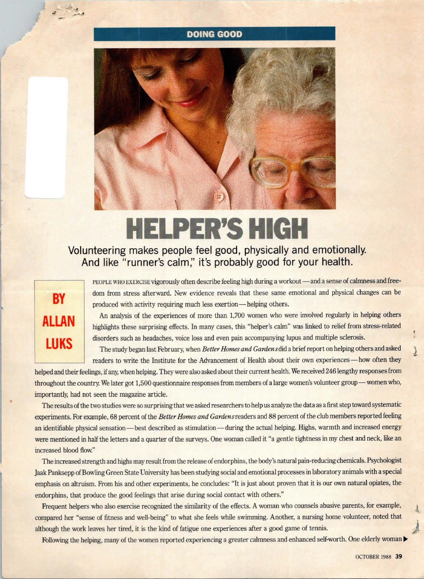## **DOING GOOD**



## **HELPER'S HIGH**

## **Volunteering makes people feel good, physically and emotionally. And like "runner's calm;' it's probably good for your health.**

## **BY ALLAN LUKS**

•

PEOPLE WHO EXERCISE vigorously often describe feeling high during a workout — and a sense of calmness and freedom from stress afterward. New evidence reveals that these same emotional and physical changes can be produced with activity requiring much less exertion—helping others.

An analysis of the experiences of more than 1,700 women who were involved regularly in helping others highlights these surprising effects. In many cases, this "helper's calm" was linked to relief from stress-related disorders such as headaches, voice loss and even pain accompanying lupus and multiple sclerosis.

The study began last February, when *Better Homes and Gardens* did a brief report on helping others and asked **l**  readers to write the Institute for the Advancement of Health about their own experiences-how often they

helped and their feelings, if any, when helping. They were also asked about their current health. We received 246 lengthy responses from throughout the country. We later got 1,500 questionnaire responses from members of a large women's volunteer group-women who, importantly, had not seen the magazine article.

The results of the two studies were so surprising that we asked researchers to help us analyze the data as a first step toward systematic experiments. For example, 68 percent of the *Better Homes and Gardens* readers and 88 percent of the club members reported feeling an identifiable physical sensation-best described as stimulation-during the actual helping. Highs, warmth and increased energy were mentioned in half the letters and a quarter of the surveys. One woman called it "a gentle tightness in my chest and neck, like an increased blood flow."

The increased strength and highs may result from the release of endorphins, the body's natural pain-reducing chemicals. Psychologist Jaak Panksepp ofBowling Green State University has been studying social and emotional processes in laboratory animals with a special emphasis on altruism. From his and other experiments, he concludes: "It is just about proven that it is our own natural opiates, the endorphins, that produce the good feelings that arise during social contact with others."

Frequent helpers who also exercise recognized the similarity of the effects. A woman who counsels abusive parents, for example, compared her "sense of fitness and well-being" to what she feels while swimming. Another, a nursing home volunteer, noted that although the work leaves her tired, it is the kind of fatigue one experiences after a good game of tennis. *)* 

Following the helping, many of the women reported experiencing a greater calmness and enhanced self-worth. One elderly woman |